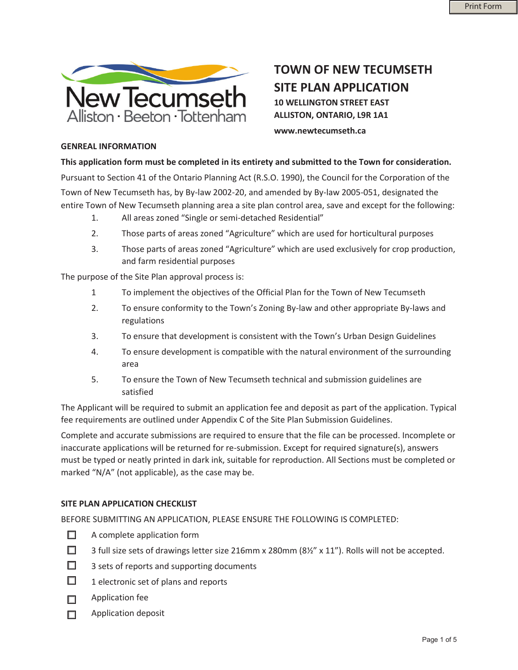

**TOWN OF NEW TECUMSETH SITE PLAN APPLICATION 10 WELLINGTON STREET EAST ALLISTON, ONTARIO, L9R 1A1** 

**www.newtecumseth.ca** 

## **GENREAL INFORMATION**

**This application form must be completed in its entirety and submitted to the Town for consideration.**

Pursuant to Section 41 of the Ontario Planning Act (R.S.O. 1990), the Council for the Corporation of the Town of New Tecumseth has, by By-law 2002-20, and amended by By-law 2005-051, designated the entire Town of New Tecumseth planning area a site plan control area, save and except for the following:

- 1. All areas zoned "Single or semi-detached Residential"
- 2. Those parts of areas zoned "Agriculture" which are used for horticultural purposes
- 3. Those parts of areas zoned "Agriculture" which are used exclusively for crop production, and farm residential purposes

The purpose of the Site Plan approval process is:

- 1 To implement the objectives of the Official Plan for the Town of New Tecumseth
- 2. To ensure conformity to the Town's Zoning By-law and other appropriate By-laws and regulations
- 3. To ensure that development is consistent with the Town's Urban Design Guidelines
- 4. To ensure development is compatible with the natural environment of the surrounding area
- 5. To ensure the Town of New Tecumseth technical and submission guidelines are satisfied

The Applicant will be required to submit an application fee and deposit as part of the application. Typical fee requirements are outlined under Appendix C of the Site Plan Submission Guidelines.

Complete and accurate submissions are required to ensure that the file can be processed. Incomplete or inaccurate applications will be returned for re-submission. Except for required signature(s), answers must be typed or neatly printed in dark ink, suitable for reproduction. All Sections must be completed or marked "N/A" (not applicable), as the case may be.

## **SITE PLAN APPLICATION CHECKLIST**

BEFORE SUBMITTING AN APPLICATION, PLEASE ENSURE THE FOLLOWING IS COMPLETED:

- $\Box$ A complete application form
- $\Box$ 3 full size sets of drawings letter size 216mm x 280mm (8½" x 11"). Rolls will not be accepted.
- П. 3 sets of reports and supporting documents
- $\Box$ 1 electronic set of plans and reports
- $\Box$  Application fee
- $\Box$  Application deposit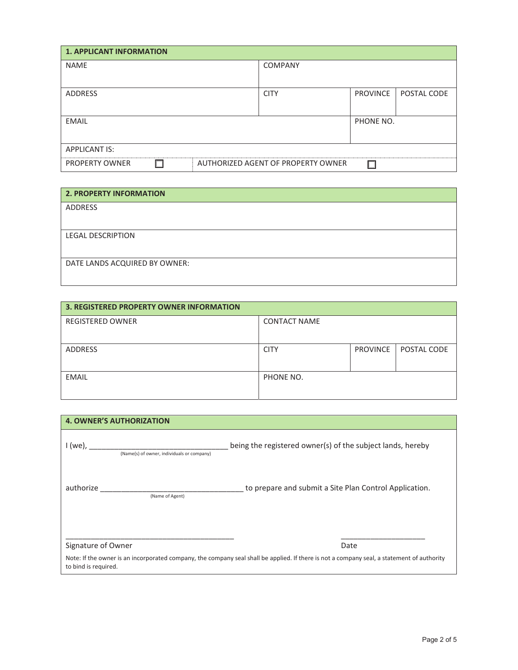| <b>1. APPLICANT INFORMATION</b> |                                    |                 |             |  |  |
|---------------------------------|------------------------------------|-----------------|-------------|--|--|
| <b>NAME</b>                     | <b>COMPANY</b>                     |                 |             |  |  |
|                                 |                                    |                 |             |  |  |
| <b>ADDRESS</b>                  | <b>CITY</b>                        | <b>PROVINCE</b> | POSTAL CODE |  |  |
|                                 |                                    |                 |             |  |  |
| <b>EMAIL</b>                    |                                    | PHONE NO.       |             |  |  |
|                                 |                                    |                 |             |  |  |
| <b>APPLICANT IS:</b>            |                                    |                 |             |  |  |
| <b>PROPERTY OWNER</b><br>П      | AUTHORIZED AGENT OF PROPERTY OWNER |                 |             |  |  |

| <b>2. PROPERTY INFORMATION</b> |
|--------------------------------|
| <b>ADDRESS</b>                 |
|                                |
| <b>LEGAL DESCRIPTION</b>       |
|                                |
| DATE LANDS ACQUIRED BY OWNER:  |
|                                |

| <b>3. REGISTERED PROPERTY OWNER INFORMATION</b> |                     |          |             |  |
|-------------------------------------------------|---------------------|----------|-------------|--|
| <b>REGISTERED OWNER</b>                         | <b>CONTACT NAME</b> |          |             |  |
|                                                 |                     |          |             |  |
| <b>ADDRESS</b>                                  | <b>CITY</b>         | PROVINCE | POSTAL CODE |  |
|                                                 |                     |          |             |  |
| <b>EMAIL</b>                                    | PHONE NO.           |          |             |  |
|                                                 |                     |          |             |  |

| <b>4. OWNER'S AUTHORIZATION</b>                       |                                                                                                                                                    |
|-------------------------------------------------------|----------------------------------------------------------------------------------------------------------------------------------------------------|
| I (we),<br>(Name(s) of owner, individuals or company) | being the registered owner(s) of the subject lands, hereby                                                                                         |
| authorize<br>(Name of Agent)                          | to prepare and submit a Site Plan Control Application.                                                                                             |
| Signature of Owner<br>to bind is required.            | Date<br>Note: If the owner is an incorporated company, the company seal shall be applied. If there is not a company seal, a statement of authority |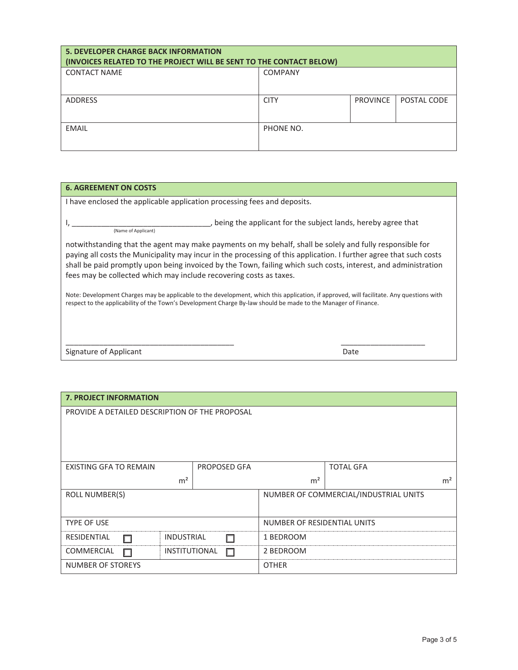| <b>5. DEVELOPER CHARGE BACK INFORMATION</b><br>(INVOICES RELATED TO THE PROJECT WILL BE SENT TO THE CONTACT BELOW) |                |                 |             |  |
|--------------------------------------------------------------------------------------------------------------------|----------------|-----------------|-------------|--|
| <b>CONTACT NAME</b>                                                                                                | <b>COMPANY</b> |                 |             |  |
| <b>ADDRESS</b>                                                                                                     | <b>CITY</b>    | <b>PROVINCE</b> | POSTAL CODE |  |
| <b>EMAIL</b>                                                                                                       | PHONE NO.      |                 |             |  |

## **6. AGREEMENT ON COSTS**

I have enclosed the applicable application processing fees and deposits.

I, \_\_\_\_\_\_\_\_\_\_\_\_\_\_\_\_\_\_\_\_\_\_\_\_\_\_\_\_\_\_\_\_\_, being the applicant for the subject lands, hereby agree that (Name of Applicant)

notwithstanding that the agent may make payments on my behalf, shall be solely and fully responsible for paying all costs the Municipality may incur in the processing of this application. I further agree that such costs shall be paid promptly upon being invoiced by the Town, failing which such costs, interest, and administration fees may be collected which may include recovering costs as taxes.

Note: Development Charges may be applicable to the development, which this application, if approved, will facilitate. Any questions with respect to the applicability of the Town's Development Charge By-law should be made to the Manager of Finance.

 $\overline{\phantom{a}}$  , and the contribution of the contribution of the contribution of the contribution of the contribution of the contribution of the contribution of the contribution of the contribution of the contribution of the

Signature of Applicant **Date** 

| <b>7. PROJECT INFORMATION</b>                  |                      |                                       |                     |                |                  |                |
|------------------------------------------------|----------------------|---------------------------------------|---------------------|----------------|------------------|----------------|
| PROVIDE A DETAILED DESCRIPTION OF THE PROPOSAL |                      |                                       |                     |                |                  |                |
|                                                |                      |                                       |                     |                |                  |                |
|                                                |                      |                                       |                     |                |                  |                |
|                                                |                      |                                       |                     |                |                  |                |
|                                                |                      |                                       |                     |                |                  |                |
| <b>EXISTING GFA TO REMAIN</b>                  |                      |                                       | <b>PROPOSED GFA</b> |                | <b>TOTAL GFA</b> |                |
|                                                | m <sup>2</sup>       |                                       |                     | m <sup>2</sup> |                  | m <sup>2</sup> |
| <b>ROLL NUMBER(S)</b>                          |                      | NUMBER OF COMMERCIAL/INDUSTRIAL UNITS |                     |                |                  |                |
|                                                |                      |                                       |                     |                |                  |                |
|                                                |                      |                                       |                     |                |                  |                |
| <b>TYPE OF USE</b>                             |                      | NUMBER OF RESIDENTIAL UNITS           |                     |                |                  |                |
| RESIDENTIAL                                    | <b>INDUSTRIAL</b>    |                                       | п                   | 1 BEDROOM      |                  |                |
| COMMERCIAL<br>П                                | <b>INSTITUTIONAL</b> |                                       | □                   | 2 BEDROOM      |                  |                |
| NUMBER OF STOREYS                              |                      |                                       | <b>OTHER</b>        |                |                  |                |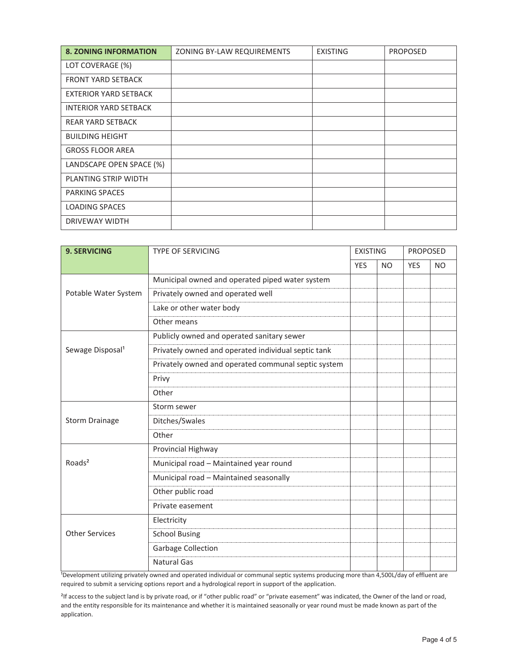| <b>8. ZONING INFORMATION</b> | ZONING BY-LAW REQUIREMENTS | <b>EXISTING</b> | <b>PROPOSED</b> |
|------------------------------|----------------------------|-----------------|-----------------|
| LOT COVERAGE (%)             |                            |                 |                 |
| <b>FRONT YARD SETBACK</b>    |                            |                 |                 |
| EXTERIOR YARD SETBACK        |                            |                 |                 |
| <b>INTERIOR YARD SETBACK</b> |                            |                 |                 |
| <b>REAR YARD SETBACK</b>     |                            |                 |                 |
| <b>BUILDING HEIGHT</b>       |                            |                 |                 |
| <b>GROSS FLOOR AREA</b>      |                            |                 |                 |
| LANDSCAPE OPEN SPACE (%)     |                            |                 |                 |
| PLANTING STRIP WIDTH         |                            |                 |                 |
| <b>PARKING SPACES</b>        |                            |                 |                 |
| <b>LOADING SPACES</b>        |                            |                 |                 |
| DRIVEWAY WIDTH               |                            |                 |                 |

| <b>9. SERVICING</b>          | <b>TYPE OF SERVICING</b>                            |            | <b>EXISTING</b> |            | <b>PROPOSED</b> |  |
|------------------------------|-----------------------------------------------------|------------|-----------------|------------|-----------------|--|
|                              |                                                     | <b>YES</b> | N <sub>O</sub>  | <b>YES</b> | <b>NO</b>       |  |
|                              | Municipal owned and operated piped water system     |            |                 |            |                 |  |
| Potable Water System         | Privately owned and operated well                   |            |                 |            |                 |  |
|                              | Lake or other water body                            |            |                 |            |                 |  |
|                              | Other means                                         |            |                 |            |                 |  |
|                              | Publicly owned and operated sanitary sewer          |            |                 |            |                 |  |
| Sewage Disposal <sup>1</sup> | Privately owned and operated individual septic tank |            |                 |            |                 |  |
|                              | Privately owned and operated communal septic system |            |                 |            |                 |  |
|                              | Privy                                               |            |                 |            |                 |  |
|                              | Other                                               |            |                 |            |                 |  |
|                              | Storm sewer                                         |            |                 |            |                 |  |
| <b>Storm Drainage</b>        | Ditches/Swales                                      |            |                 |            |                 |  |
|                              | Other                                               |            |                 |            |                 |  |
|                              | Provincial Highway                                  |            |                 |            |                 |  |
| Roads <sup>2</sup>           | Municipal road - Maintained year round              |            |                 |            |                 |  |
|                              | Municipal road - Maintained seasonally              |            |                 |            |                 |  |
|                              | Other public road                                   |            |                 |            |                 |  |
|                              | Private easement                                    |            |                 |            |                 |  |
|                              | Electricity                                         |            |                 |            |                 |  |
| <b>Other Services</b>        | <b>School Busing</b>                                |            |                 |            |                 |  |
|                              | <b>Garbage Collection</b>                           |            |                 |            |                 |  |
|                              | <b>Natural Gas</b>                                  |            |                 |            |                 |  |

Development utilizing privately owned and operated individual or communal septic systems producing more than 4,500L/day of effluent are required to submit a servicing options report and a hydrological report in support of the application.

<sup>2</sup>If access to the subject land is by private road, or if "other public road" or "private easement" was indicated, the Owner of the land or road, and the entity responsible for its maintenance and whether it is maintained seasonally or year round must be made known as part of the application.